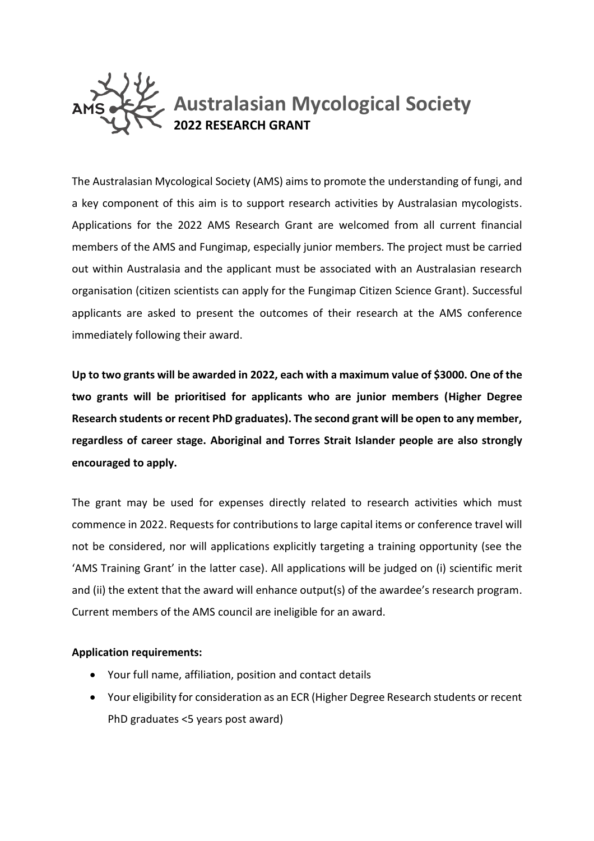

The Australasian Mycological Society (AMS) aims to promote the understanding of fungi, and a key component of this aim is to support research activities by Australasian mycologists. Applications for the 2022 AMS Research Grant are welcomed from all current financial members of the AMS and Fungimap, especially junior members. The project must be carried out within Australasia and the applicant must be associated with an Australasian research organisation (citizen scientists can apply for the Fungimap Citizen Science Grant). Successful applicants are asked to present the outcomes of their research at the AMS conference immediately following their award.

**Up to two grants will be awarded in 2022, each with a maximum value of \$3000. One of the two grants will be prioritised for applicants who are junior members (Higher Degree Research students or recent PhD graduates). The second grant will be open to any member, regardless of career stage. Aboriginal and Torres Strait Islander people are also strongly encouraged to apply.**

The grant may be used for expenses directly related to research activities which must commence in 2022. Requests for contributions to large capital items or conference travel will not be considered, nor will applications explicitly targeting a training opportunity (see the 'AMS Training Grant' in the latter case). All applications will be judged on (i) scientific merit and (ii) the extent that the award will enhance output(s) of the awardee's research program. Current members of the AMS council are ineligible for an award.

## **Application requirements:**

- Your full name, affiliation, position and contact details
- Your eligibility for consideration as an ECR (Higher Degree Research students or recent PhD graduates <5 years post award)